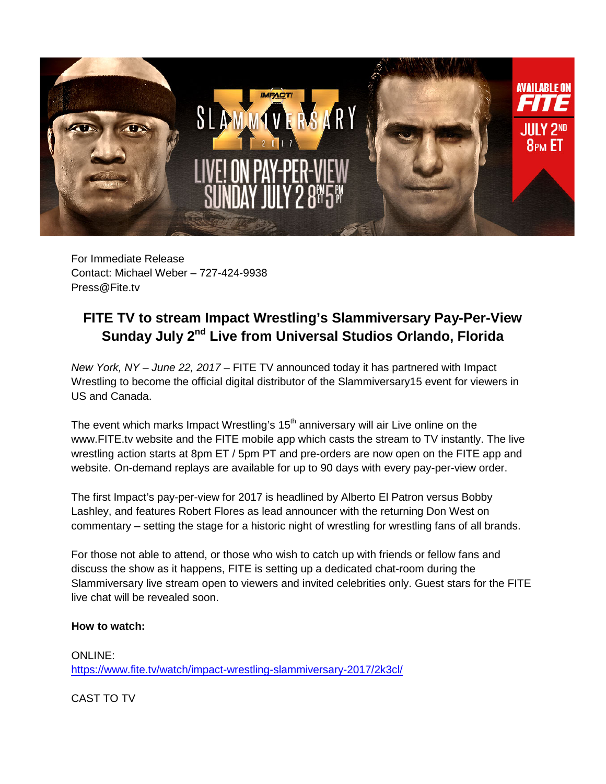

For Immediate Release Contact: Michael Weber – 727-424-9938 Press@Fite.tv

# **FITE TV to stream Impact Wrestling's Slammiversary Pay-Per-View Sunday July 2nd Live from Universal Studios Orlando, Florida**

*New York, NY – June 22, 2017 –* FITE TV announced today it has partnered with Impact Wrestling to become the official digital distributor of the Slammiversary15 event for viewers in US and Canada.

The event which marks Impact Wrestling's  $15<sup>th</sup>$  anniversary will air Live online on the www.FITE.tv website and the FITE mobile app which casts the stream to TV instantly. The live wrestling action starts at 8pm ET / 5pm PT and pre-orders are now open on the FITE app and website. On-demand replays are available for up to 90 days with every pay-per-view order.

The first Impact's pay-per-view for 2017 is headlined by Alberto El Patron versus Bobby Lashley, and features Robert Flores as lead announcer with the returning Don West on commentary – setting the stage for a historic night of wrestling for wrestling fans of all brands.

For those not able to attend, or those who wish to catch up with friends or fellow fans and discuss the show as it happens, FITE is setting up a dedicated chat-room during the Slammiversary live stream open to viewers and invited celebrities only. Guest stars for the FITE live chat will be revealed soon.

#### **How to watch:**

ONLINE: <https://www.fite.tv/watch/impact-wrestling-slammiversary-2017/2k3cl/>

CAST TO TV